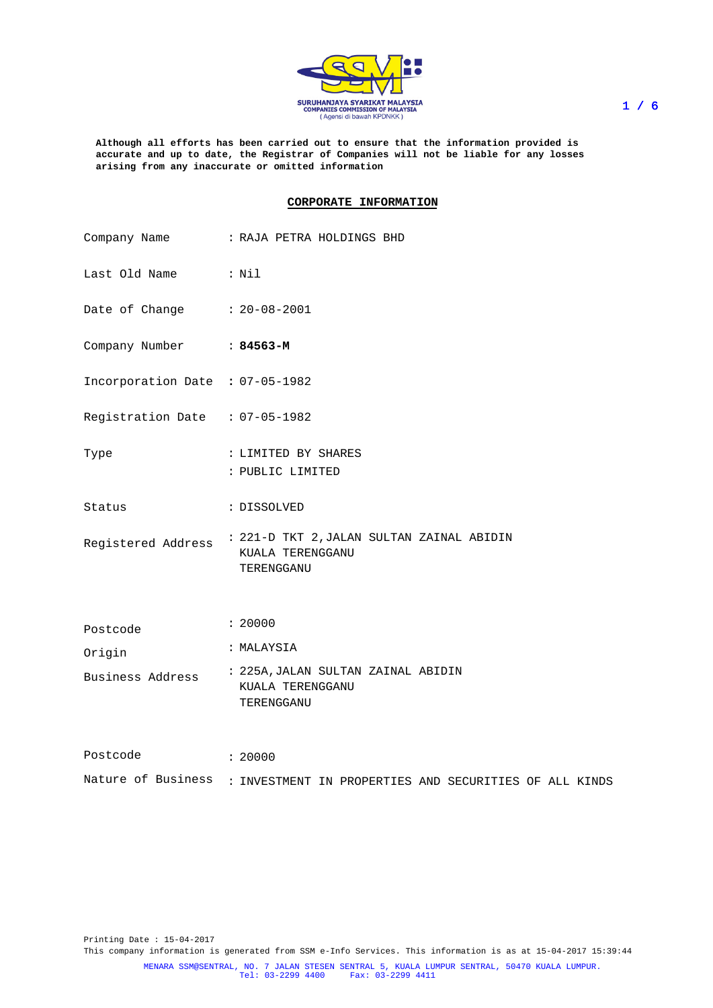

**Although all efforts has been carried out to ensure that the information provided is accurate and up to date, the Registrar of Companies will not be liable for any losses arising from any inaccurate or omitted information**

## **CORPORATE INFORMATION**

|                                 | Company Name : RAJA PETRA HOLDINGS BHD                                                        |
|---------------------------------|-----------------------------------------------------------------------------------------------|
| Last Old Name : Nil             |                                                                                               |
| Date of Change : 20-08-2001     |                                                                                               |
| Company Number : 84563-M        |                                                                                               |
| Incorporation Date : 07-05-1982 |                                                                                               |
| Registration Date : 07-05-1982  |                                                                                               |
| Type                            | : LIMITED BY SHARES<br>: PUBLIC LIMITED                                                       |
| Status                          | : DISSOLVED                                                                                   |
|                                 | Registered Address : 221-D TKT 2,JALAN SULTAN ZAINAL ABIDIN<br>KUALA TERENGGANU<br>TERENGGANU |
| Postcode                        | : 20000                                                                                       |
| Origin                          | : MALAYSIA                                                                                    |
|                                 | KUALA TERENGGANU<br>TERENGGANU                                                                |
| Postcode                        | : 20000                                                                                       |
|                                 | Nature of Business : INVESTMENT IN PROPERTIES AND SECURITIES OF ALL KINDS                     |

Printing Date : 15-04-2017 This company information is generated from SSM e-Info Services. This information is as at 15-04-2017 15:39:44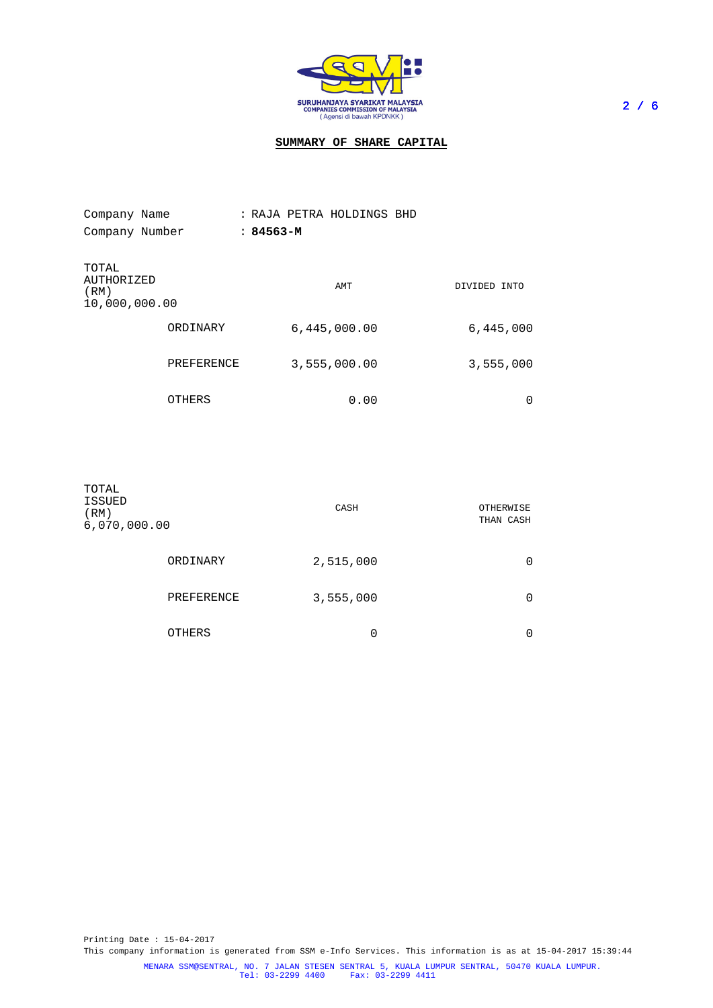

# **SUMMARY OF SHARE CAPITAL**

| Company Name                                 |            | : RAJA PETRA HOLDINGS BHD |                 |
|----------------------------------------------|------------|---------------------------|-----------------|
| Company Number                               |            | $:84563-M$                |                 |
| TOTAL<br>AUTHORIZED<br>(RM)<br>10,000,000.00 |            | AMT                       | DIVIDED<br>INTO |
|                                              | ORDINARY   | 6,445,000.00              | 6,445,000       |
|                                              | PREFERENCE | 3,555,000.00              | 3,555,000       |
|                                              | OTHERS     | 0.00                      | O               |

| TOTAL<br>ISSUED<br>(RM)<br>6,070,000.00 |               | CASH      | OTHERWISE<br>THAN CASH |
|-----------------------------------------|---------------|-----------|------------------------|
|                                         | ORDINARY      | 2,515,000 | 0                      |
|                                         | PREFERENCE    | 3,555,000 | 0                      |
|                                         | <b>OTHERS</b> | 0         | 0                      |

Printing Date : 15-04-2017 This company information is generated from SSM e-Info Services. This information is as at 15-04-2017 15:39:44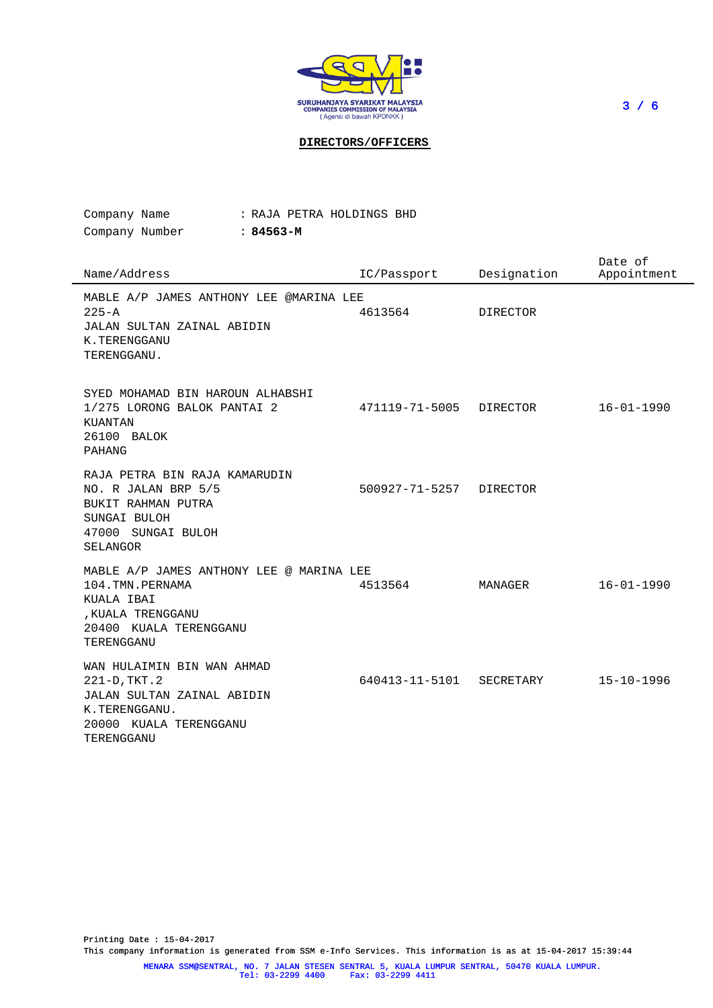

**DIRECTORS/OFFICERS**

Company Name Company Number : **84563-M** : RAJA PETRA HOLDINGS BHD

| Name/Address                                                                                                                             | IC/Passport             | Designation     | Date of<br>Appointment |
|------------------------------------------------------------------------------------------------------------------------------------------|-------------------------|-----------------|------------------------|
| MABLE A/P JAMES ANTHONY LEE @MARINA LEE<br>$225 - A$<br>JALAN SULTAN ZAINAL ABIDIN<br>K.TERENGGANU<br>TERENGGANU.                        | 4613564                 | <b>DIRECTOR</b> |                        |
| SYED MOHAMAD BIN HAROUN ALHABSHI<br>1/275 LORONG BALOK PANTAI 2<br>KUANTAN<br>26100 BALOK<br>PAHANG                                      | 471119-71-5005          | DIRECTOR        | $16 - 01 - 1990$       |
| RAJA PETRA BIN RAJA KAMARUDIN<br>NO. R JALAN BRP 5/5<br>BUKIT RAHMAN PUTRA<br>SUNGAI BULOH<br>47000 SUNGAI BULOH<br>SELANGOR             | 500927-71-5257 DIRECTOR |                 |                        |
| MABLE A/P JAMES ANTHONY LEE @ MARINA LEE<br>104. TMN. PERNAMA<br>KUALA IBAI<br>, KUALA TRENGGANU<br>20400 KUALA TERENGGANU<br>TERENGGANU | 4513564                 | MANAGER         | $16 - 01 - 1990$       |
| WAN HULAIMIN BIN WAN AHMAD<br>221-D, TKT.2<br>JALAN SULTAN ZAINAL ABIDIN<br>K.TERENGGANU.<br>20000 KUALA TERENGGANU<br>TERENGGANU        | 640413-11-5101          | SECRETARY       | $15 - 10 - 1996$       |

Printing Date : 15-04-2017 This company information is generated from SSM e-Info Services. This information is as at 15-04-2017 15:39:44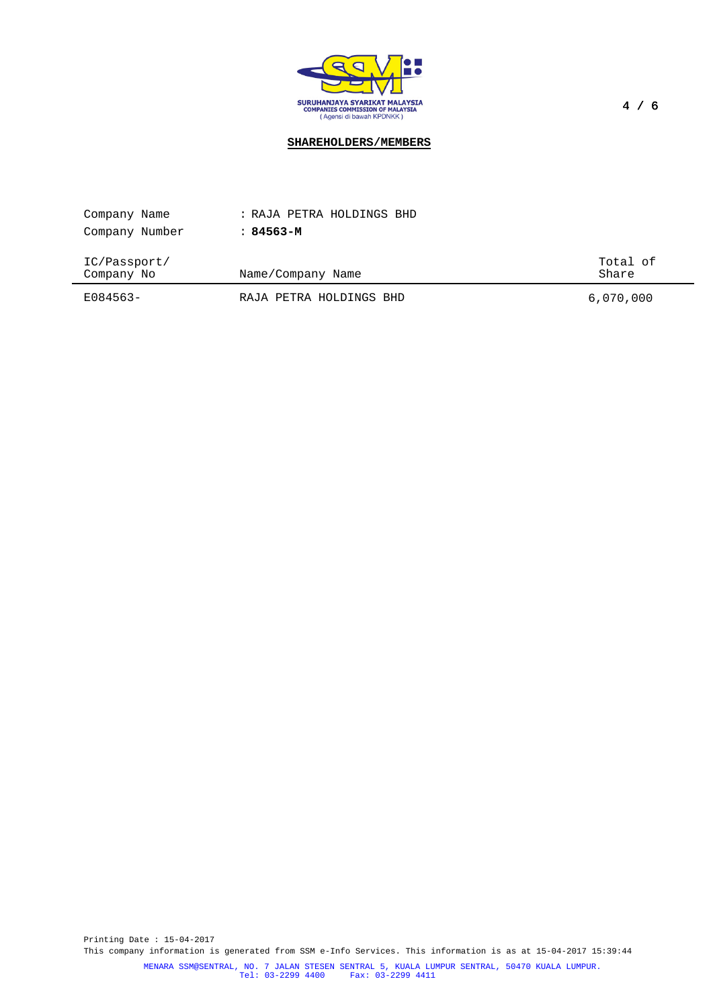

# **SHAREHOLDERS/MEMBERS**

| Company Name               | : RAJA PETRA HOLDINGS BHD |                   |
|----------------------------|---------------------------|-------------------|
| Company Number             | : 84563-м                 |                   |
| IC/Passport/<br>Company No | Name/Company Name         | Total of<br>Share |
| E084563-                   | RAJA PETRA HOLDINGS BHD   | 6,070,000         |

Printing Date : 15-04-2017 This company information is generated from SSM e-Info Services. This information is as at 15-04-2017 15:39:44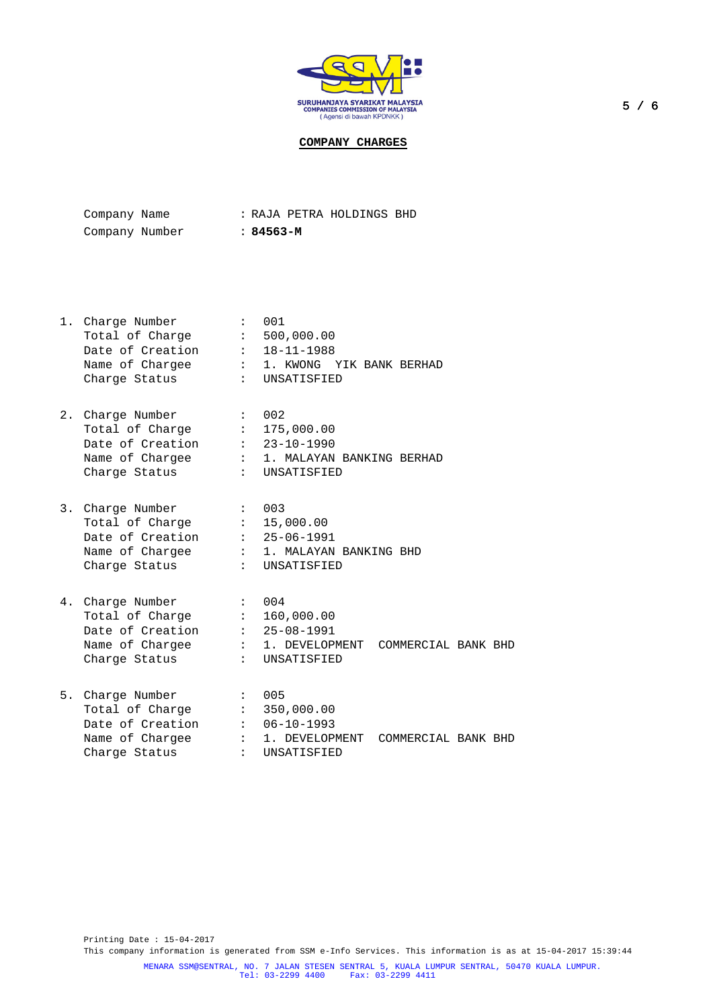

**COMPANY CHARGES**

| Company Name   |  |           | : RAJA PETRA HOLDINGS BHD |  |
|----------------|--|-----------|---------------------------|--|
| Company Number |  | : 84563-M |                           |  |

| 1. Charge Number<br>Total of Charge : 500,000.00<br>Date of Creation : 18-11-1988<br>Charge Status                      | $\mathbf{1}$ , $\mathbf{1}$ | 001<br>Name of Chargee : 1. KWONG YIK BANK BERHAD<br>: UNSATISFIED                         |
|-------------------------------------------------------------------------------------------------------------------------|-----------------------------|--------------------------------------------------------------------------------------------|
| 2. Charge Number<br>Total of Charge : 175,000.00<br>Date of Creation : 23-10-1990<br>Charge Status                      |                             | : 002<br>Name of Chargee : 1. MALAYAN BANKING BERHAD<br>: UNSATISFIED                      |
| 3. Charge Number<br>Total of Charge $\qquad \qquad : \quad 15,000.00$<br>Date of Creation : 25-06-1991<br>Charge Status | $\sim$ 003                  | Name of Chargee : 1. MALAYAN BANKING BHD<br>: UNSATISFIED                                  |
| 4. Charge Number<br>Total of Charge :<br>Date of Creation $: 25-08-1991$<br>Charge Status                               | $2.5-1.5$                   | : 004<br>160,000.00<br>Name of Chargee : 1. DEVELOPMENT COMMERCIAL BANK BHD<br>UNSATISFIED |

| 5. Charge Number | $\colon$ 005                         |  |  |
|------------------|--------------------------------------|--|--|
| Total of Charge  | : 350,000.00                         |  |  |
| Date of Creation | $: 06 - 10 - 1993$                   |  |  |
| Name of Chargee  | : 1. DEVELOPMENT COMMERCIAL BANK BHD |  |  |
| Charge Status    | : UNSATISFIED                        |  |  |

Printing Date : 15-04-2017 This company information is generated from SSM e-Info Services. This information is as at 15-04-2017 15:39:44